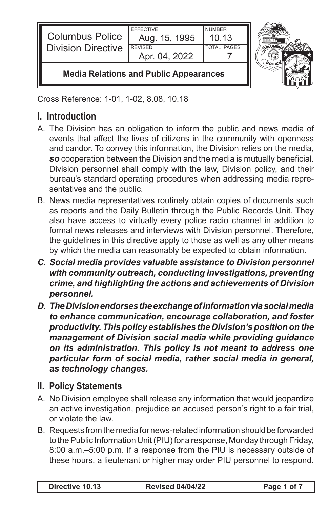| <b>Columbus Police</b><br><b>Division Directive</b> | <b>FFFFCTIVE</b><br>Aug. 15, 1995<br><b>REVISED</b><br>Apr. 04, 2022 | <b>NUMBER</b><br>1013<br><b>TOTAL PAGES</b> |  |
|-----------------------------------------------------|----------------------------------------------------------------------|---------------------------------------------|--|
| <b>Media Relations and Public Appearances</b>       |                                                                      |                                             |  |

Cross Reference: 1-01, 1-02, 8.08, 10.18

## **I. Introduction**

- A. The Division has an obligation to inform the public and news media of events that affect the lives of citizens in the community with openness and candor. To convey this information, the Division relies on the media, *so* cooperation between the Division and the media is mutually beneficial. Division personnel shall comply with the law, Division policy, and their bureau's standard operating procedures when addressing media representatives and the public.
- B. News media representatives routinely obtain copies of documents such as reports and the Daily Bulletin through the Public Records Unit. They also have access to virtually every police radio channel in addition to formal news releases and interviews with Division personnel. Therefore, the guidelines in this directive apply to those as well as any other means by which the media can reasonably be expected to obtain information.
- *C. Social media provides valuable assistance to Division personnel with community outreach, conducting investigations, preventing crime, and highlighting the actions and achievements of Division personnel.*
- *D. The Division endorses the exchange of information via social media to enhance communication, encourage collaboration, and foster productivity. This policy establishes the Division's position on the management of Division social media while providing guidance on its administration. This policy is not meant to address one particular form of social media, rather social media in general, as technology changes.*

## **II. Policy Statements**

- A. No Division employee shall release any information that would jeopardize an active investigation, prejudice an accused person's right to a fair trial, or violate the law.
- B. Requests from the media for news-related information should be forwarded to the Public Information Unit (PIU) for a response, Monday through Friday, 8:00 a.m.–5:00 p.m. If a response from the PIU is necessary outside of these hours, a lieutenant or higher may order PIU personnel to respond.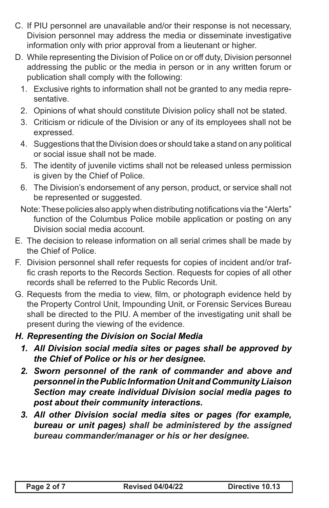- C. If PIU personnel are unavailable and/or their response is not necessary, Division personnel may address the media or disseminate investigative information only with prior approval from a lieutenant or higher.
- D. While representing the Division of Police on or off duty, Division personnel addressing the public or the media in person or in any written forum or publication shall comply with the following:
	- 1. Exclusive rights to information shall not be granted to any media representative.
	- 2. Opinions of what should constitute Division policy shall not be stated.
	- 3. Criticism or ridicule of the Division or any of its employees shall not be expressed.
	- 4. Suggestions that the Division does or should take a stand on any political or social issue shall not be made.
	- 5. The identity of juvenile victims shall not be released unless permission is given by the Chief of Police.
	- 6. The Division's endorsement of any person, product, or service shall not be represented or suggested.
	- Note: These policies also apply when distributing notifications via the "Alerts" function of the Columbus Police mobile application or posting on any Division social media account.
- E. The decision to release information on all serial crimes shall be made by the Chief of Police.
- F. Division personnel shall refer requests for copies of incident and/or traffic crash reports to the Records Section. Requests for copies of all other records shall be referred to the Public Records Unit.
- G. Requests from the media to view, film, or photograph evidence held by the Property Control Unit, Impounding Unit, or Forensic Services Bureau shall be directed to the PIU. A member of the investigating unit shall be present during the viewing of the evidence.

## *H. Representing the Division on Social Media*

- *1. All Division social media sites or pages shall be approved by the Chief of Police or his or her designee.*
- *2. Sworn personnel of the rank of commander and above and personnel in the Public Information Unit and Community Liaison Section may create individual Division social media pages to post about their community interactions.*
- *3. All other Division social media sites or pages (for example, bureau or unit pages) shall be administered by the assigned bureau commander/manager or his or her designee.*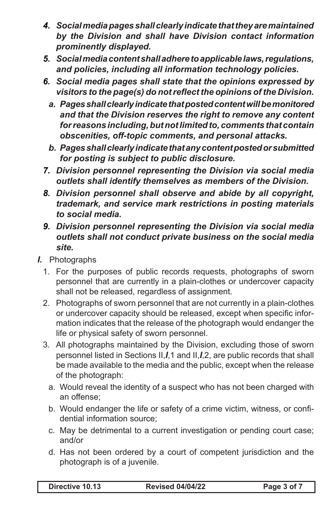- *4. Social media pages shall clearly indicate that they are maintained by the Division and shall have Division contact information prominently displayed.*
- *5. Social media content shall adhere to applicable laws, regulations, and policies, including all information technology policies.*
- *6. Social media pages shall state that the opinions expressed by visitors to the page(s) do not reflect the opinions of the Division.*
	- *a. Pages shall clearly indicate that posted content will be monitored and that the Division reserves the right to remove any content for reasons including, but not limited to, comments that contain obscenities, off-topic comments, and personal attacks.*
	- *b. Pages shall clearly indicate that any content posted or submitted for posting is subject to public disclosure.*
- *7. Division personnel representing the Division via social media outlets shall identify themselves as members of the Division.*
- *8. Division personnel shall observe and abide by all copyright, trademark, and service mark restrictions in posting materials to social media.*
- *9. Division personnel representing the Division via social media outlets shall not conduct private business on the social media site.*
- *I.* Photographs
	- 1. For the purposes of public records requests, photographs of sworn personnel that are currently in a plain-clothes or undercover capacity shall not be released, regardless of assignment.
	- 2. Photographs of sworn personnel that are not currently in a plain-clothes or undercover capacity should be released, except when specific information indicates that the release of the photograph would endanger the life or physical safety of sworn personnel.
	- 3. All photographs maintained by the Division, excluding those of sworn personnel listed in Sections II,*I*,1 and II,*I*,2, are public records that shall be made available to the media and the public, except when the release of the photograph:
		- a. Would reveal the identity of a suspect who has not been charged with an offense;
		- b. Would endanger the life or safety of a crime victim, witness, or confidential information source;
		- c. May be detrimental to a current investigation or pending court case; and/or
		- d. Has not been ordered by a court of competent jurisdiction and the photograph is of a juvenile.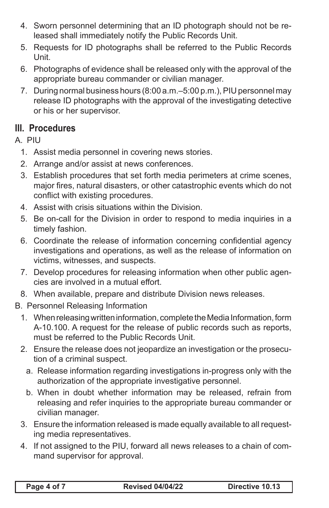- 4. Sworn personnel determining that an ID photograph should not be released shall immediately notify the Public Records Unit.
- 5. Requests for ID photographs shall be referred to the Public Records Unit.
- 6. Photographs of evidence shall be released only with the approval of the appropriate bureau commander or civilian manager.
- 7. During normal business hours (8:00 a.m.–5:00 p.m.), PIU personnel may release ID photographs with the approval of the investigating detective or his or her supervisor.

## **III. Procedures**

A. PIU

- 1. Assist media personnel in covering news stories.
- 2. Arrange and/or assist at news conferences.
- 3. Establish procedures that set forth media perimeters at crime scenes, major fires, natural disasters, or other catastrophic events which do not conflict with existing procedures.
- 4. Assist with crisis situations within the Division.
- 5. Be on-call for the Division in order to respond to media inquiries in a timely fashion.
- 6. Coordinate the release of information concerning confidential agency investigations and operations, as well as the release of information on victims, witnesses, and suspects.
- 7. Develop procedures for releasing information when other public agencies are involved in a mutual effort.
- 8. When available, prepare and distribute Division news releases.
- B. Personnel Releasing Information
	- 1. When releasing written information, complete the Media Information, form A-10.100. A request for the release of public records such as reports, must be referred to the Public Records Unit.
	- 2. Ensure the release does not jeopardize an investigation or the prosecution of a criminal suspect.
		- a. Release information regarding investigations in-progress only with the authorization of the appropriate investigative personnel.
		- b. When in doubt whether information may be released, refrain from releasing and refer inquiries to the appropriate bureau commander or civilian manager.
	- 3. Ensure the information released is made equally available to all requesting media representatives.
	- 4. If not assigned to the PIU, forward all news releases to a chain of command supervisor for approval.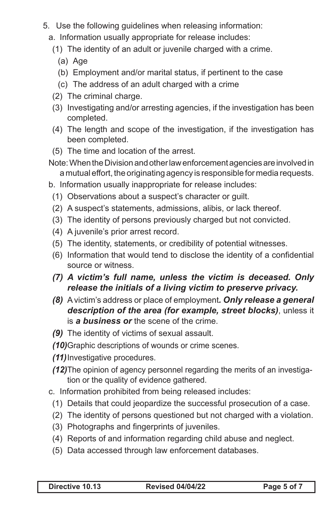- 5. Use the following guidelines when releasing information:
	- a. Information usually appropriate for release includes:
		- (1) The identity of an adult or juvenile charged with a crime.
			- (a) Age
			- (b) Employment and/or marital status, if pertinent to the case
			- (c) The address of an adult charged with a crime
		- (2) The criminal charge.
		- (3) Investigating and/or arresting agencies, if the investigation has been completed.
		- (4) The length and scope of the investigation, if the investigation has been completed.
		- (5) The time and location of the arrest.
	- Note: When the Division and other law enforcement agencies are involved in a mutual effort, the originating agency is responsible for media requests.
	- b. Information usually inappropriate for release includes:
		- (1) Observations about a suspect's character or guilt.
		- (2) A suspect's statements, admissions, alibis, or lack thereof.
		- (3) The identity of persons previously charged but not convicted.
		- (4) A juvenile's prior arrest record.
		- (5) The identity, statements, or credibility of potential witnesses.
		- (6) Information that would tend to disclose the identity of a confidential source or witness.
		- *(7) A victim's full name, unless the victim is deceased. Only release the initials of a living victim to preserve privacy.*
		- *(8)* A victim's address or place of employment*. Only release a general description of the area (for example, street blocks)*, unless it is *a business or* the scene of the crime.
		- *(9)* The identity of victims of sexual assault.
		- *(10)*Graphic descriptions of wounds or crime scenes.
		- *(11)*Investigative procedures.
		- *(12)*The opinion of agency personnel regarding the merits of an investigation or the quality of evidence gathered.
	- c. Information prohibited from being released includes:
		- (1) Details that could jeopardize the successful prosecution of a case.
		- (2) The identity of persons questioned but not charged with a violation.
		- (3) Photographs and fingerprints of juveniles.
		- (4) Reports of and information regarding child abuse and neglect.
		- (5) Data accessed through law enforcement databases.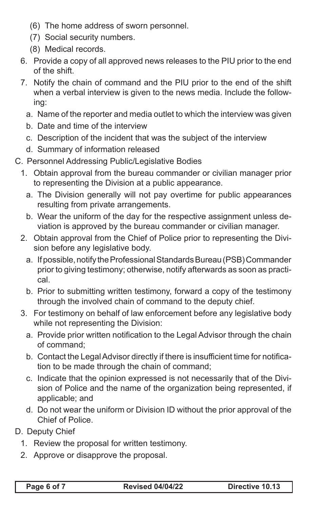- (6) The home address of sworn personnel.
- (7) Social security numbers.
- (8) Medical records.
- 6. Provide a copy of all approved news releases to the PIU prior to the end of the shift.
- 7. Notify the chain of command and the PIU prior to the end of the shift when a verbal interview is given to the news media. Include the following:
	- a. Name of the reporter and media outlet to which the interview was given
	- b. Date and time of the interview
	- c. Description of the incident that was the subject of the interview
	- d. Summary of information released
- C. Personnel Addressing Public/Legislative Bodies
	- 1. Obtain approval from the bureau commander or civilian manager prior to representing the Division at a public appearance.
		- a. The Division generally will not pay overtime for public appearances resulting from private arrangements.
		- b. Wear the uniform of the day for the respective assignment unless deviation is approved by the bureau commander or civilian manager.
	- 2. Obtain approval from the Chief of Police prior to representing the Division before any legislative body.
		- a. If possible, notify the Professional Standards Bureau (PSB) Commander prior to giving testimony; otherwise, notify afterwards as soon as practical.
		- b. Prior to submitting written testimony, forward a copy of the testimony through the involved chain of command to the deputy chief.
	- 3. For testimony on behalf of law enforcement before any legislative body while not representing the Division:
		- a. Provide prior written notification to the Legal Advisor through the chain of command;
		- b. Contact the Legal Advisor directly if there is insufficient time for notification to be made through the chain of command;
		- c. Indicate that the opinion expressed is not necessarily that of the Division of Police and the name of the organization being represented, if applicable; and
		- d. Do not wear the uniform or Division ID without the prior approval of the Chief of Police.
- D. Deputy Chief
	- 1. Review the proposal for written testimony.
	- 2. Approve or disapprove the proposal.